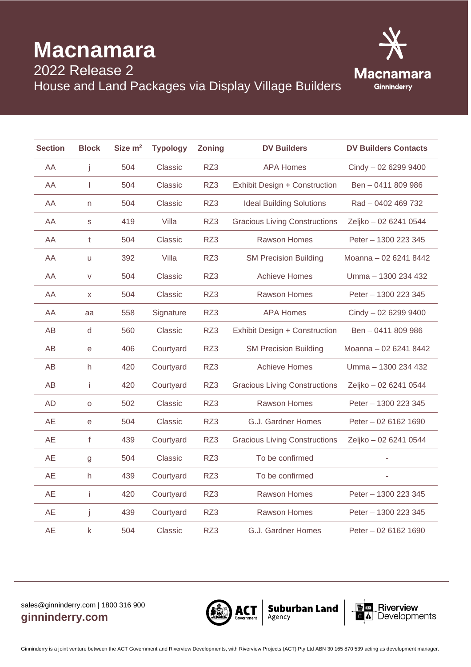## **Macnamara**



2022 Release 2 House and Land Packages via Display Village Builders

| <b>Section</b> | <b>Block</b> | Size m <sup>2</sup> | Typology  | <b>Zoning</b> | <b>DV Builders</b>                   | <b>DV Builders Contacts</b> |
|----------------|--------------|---------------------|-----------|---------------|--------------------------------------|-----------------------------|
| AA             | j            | 504                 | Classic   | RZ3           | <b>APA Homes</b>                     | Cindy - 02 6299 9400        |
| AA             | T            | 504                 | Classic   | RZ3           | Exhibit Design + Construction        | Ben - 0411 809 986          |
| AA             | n            | 504                 | Classic   | RZ3           | <b>Ideal Building Solutions</b>      | Rad - 0402 469 732          |
| AA             | S            | 419                 | Villa     | RZ3           | <b>Gracious Living Constructions</b> | Zeljko - 02 6241 0544       |
| AA             | t            | 504                 | Classic   | RZ3           | Rawson Homes                         | Peter - 1300 223 345        |
| AA             | u            | 392                 | Villa     | RZ3           | <b>SM Precision Building</b>         | Moanna - 02 6241 8442       |
| AA             | $\vee$       | 504                 | Classic   | RZ3           | <b>Achieve Homes</b>                 | Umma - 1300 234 432         |
| AA             | X            | 504                 | Classic   | RZ3           | Rawson Homes                         | Peter - 1300 223 345        |
| AA             | aa           | 558                 | Signature | RZ3           | <b>APA Homes</b>                     | Cindy - 02 6299 9400        |
| AB             | d            | 560                 | Classic   | RZ3           | Exhibit Design + Construction        | Ben - 0411 809 986          |
| AB             | e            | 406                 | Courtyard | RZ3           | <b>SM Precision Building</b>         | Moanna - 02 6241 8442       |
| AB             | h            | 420                 | Courtyard | RZ3           | <b>Achieve Homes</b>                 | Umma - 1300 234 432         |
| AB             | Ť            | 420                 | Courtyard | RZ3           | <b>Gracious Living Constructions</b> | Zeljko - 02 6241 0544       |
| <b>AD</b>      | $\mathsf O$  | 502                 | Classic   | RZ3           | <b>Rawson Homes</b>                  | Peter - 1300 223 345        |
| <b>AE</b>      | $\mathbf e$  | 504                 | Classic   | RZ3           | G.J. Gardner Homes                   | Peter - 02 6162 1690        |
| <b>AE</b>      | $\mathsf{f}$ | 439                 | Courtyard | RZ3           | <b>Gracious Living Constructions</b> | Zeljko - 02 6241 0544       |
| <b>AE</b>      | g            | 504                 | Classic   | RZ3           | To be confirmed                      |                             |
| <b>AE</b>      | h            | 439                 | Courtyard | RZ3           | To be confirmed                      | ä,                          |
| <b>AE</b>      | i            | 420                 | Courtyard | RZ3           | Rawson Homes                         | Peter - 1300 223 345        |
| <b>AE</b>      | j            | 439                 | Courtyard | RZ3           | <b>Rawson Homes</b>                  | Peter - 1300 223 345        |
| <b>AE</b>      | $\mathsf k$  | 504                 | Classic   | RZ3           | G.J. Gardner Homes                   | Peter - 02 6162 1690        |
|                |              |                     |           |               |                                      |                             |

## sales@ginninderry.com | 1800 316 900 **ginninderry.com**



**Suburban Land**  $_{Agency}$